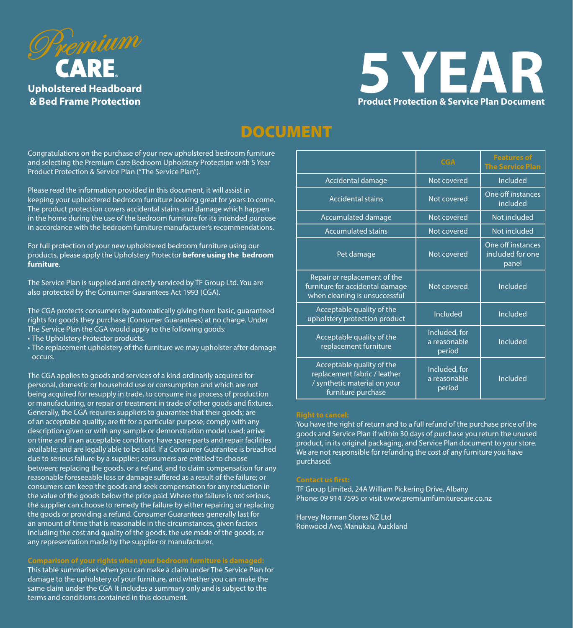



# DOCUMENT

Congratulations on the purchase of your new upholstered bedroom furniture and selecting the Premium Care Bedroom Upholstery Protection with 5 Year Product Protection & Service Plan ("The Service Plan").

Please read the information provided in this document, it will assist in keeping your upholstered bedroom furniture looking great for years to come. The product protection covers accidental stains and damage which happen in the home during the use of the bedroom furniture for its intended purpose in accordance with the bedroom furniture manufacturer's recommendations.

For full protection of your new upholstered bedroom furniture using our products, please apply the Upholstery Protector **before using the bedroom furniture**.

The Service Plan is supplied and directly serviced by TF Group Ltd. You are also protected by the Consumer Guarantees Act 1993 (CGA).

The CGA protects consumers by automatically giving them basic, guaranteed rights for goods they purchase (Consumer Guarantees) at no charge. Under The Service Plan the CGA would apply to the following goods:

- The Upholstery Protector products.
- The replacement upholstery of the furniture we may upholster after damage occurs.

The CGA applies to goods and services of a kind ordinarily acquired for personal, domestic or household use or consumption and which are not being acquired for resupply in trade, to consume in a process of production or manufacturing, or repair or treatment in trade of other goods and fixtures. Generally, the CGA requires suppliers to guarantee that their goods; are of an acceptable quality; are fit for a particular purpose; comply with any description given or with any sample or demonstration model used; arrive on time and in an acceptable condition; have spare parts and repair facilities available; and are legally able to be sold. If a Consumer Guarantee is breached due to serious failure by a supplier; consumers are entitled to choose between; replacing the goods, or a refund, and to claim compensation for any reasonable foreseeable loss or damage suffered as a result of the failure; or consumers can keep the goods and seek compensation for any reduction in the value of the goods below the price paid. Where the failure is not serious, the supplier can choose to remedy the failure by either repairing or replacing the goods or providing a refund. Consumer Guarantees generally last for an amount of time that is reasonable in the circumstances, given factors including the cost and quality of the goods, the use made of the goods, or any representation made by the supplier or manufacturer.

This table summarises when you can make a claim under The Service Plan for damage to the upholstery of your furniture, and whether you can make the same claim under the CGA It includes a summary only and is subject to the terms and conditions contained in this document.

|                                                                                                                 | <b>CGA</b>                              | <b>Features of</b><br><b>The Service Plan</b>  |
|-----------------------------------------------------------------------------------------------------------------|-----------------------------------------|------------------------------------------------|
| Accidental damage                                                                                               | Not covered                             | Included                                       |
| <b>Accidental stains</b>                                                                                        | Not covered                             | One off instances<br>included                  |
| Accumulated damage                                                                                              | Not covered                             | Not included                                   |
| <b>Accumulated stains</b>                                                                                       | Not covered                             | Not included                                   |
| Pet damage                                                                                                      | Not covered                             | One off instances<br>included for one<br>panel |
| Repair or replacement of the<br>furniture for accidental damage<br>when cleaning is unsuccessful                | Not covered                             | Included                                       |
| Acceptable quality of the<br>upholstery protection product                                                      | Included                                | Included                                       |
| Acceptable quality of the<br>replacement furniture                                                              | Included, for<br>a reasonable<br>period | Included                                       |
| Acceptable quality of the<br>replacement fabric / leather<br>/ synthetic material on your<br>furniture purchase | Included, for<br>a reasonable<br>period | Included                                       |

You have the right of return and to a full refund of the purchase price of the goods and Service Plan if within 30 days of purchase you return the unused product, in its original packaging, and Service Plan document to your store. We are not responsible for refunding the cost of any furniture you have purchased.

TF Group Limited, 24A William Pickering Drive, Albany Phone: 09 914 7595 or visit www.premiumfurniturecare.co.nz

Harvey Norman Stores NZ Ltd Ronwood Ave, Manukau, Auckland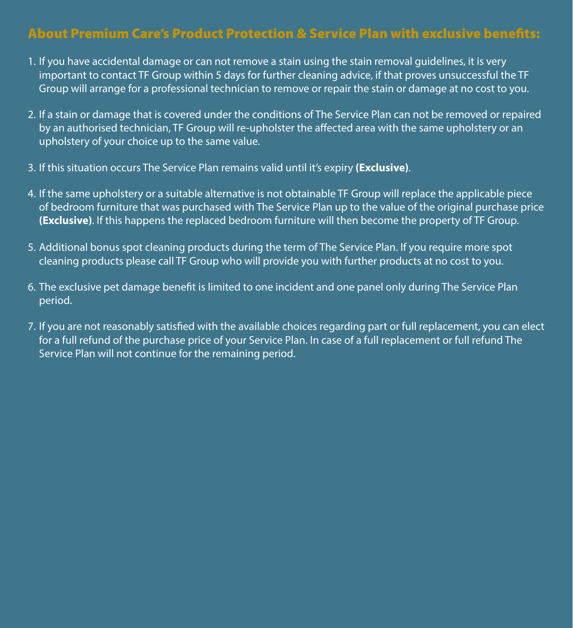## About Premium Care's Product Protection & Service Plan with exclusive benefits:

- 1. If you have accidental damage or can not remove a stain using the stain removal guidelines, it is very important to contact TF Group within 5 days for further cleaning advice, if that proves unsuccessful the TF Group will arrange for a professional technician to remove or repair the stain or damage at no cost to you.
- 2. If a stain or damage that is covered under the conditions of The Service Plan can not be removed or repaired by an authorised technician, TF Group will re-upholster the affected area with the same upholstery or an upholstery of your choice up to the same value.
- 3. If this situation occurs The Service Plan remains valid until it's expiry **(Exclusive)**.
- 4. If the same upholstery or a suitable alternative is not obtainable TF Group will replace the applicable piece of bedroom furniture that was purchased with The Service Plan up to the value of the original purchase price **(Exclusive)**. If this happens the replaced bedroom furniture will then become the property of TF Group.
- 5. Additional bonus spot cleaning products during the term of The Service Plan. If you require more spot cleaning products please call TF Group who will provide you with further products at no cost to you.
- 6. The exclusive pet damage benefit is limited to one incident and one panel only during The Service Plan period.
- 7. If you are not reasonably satisfied with the available choices regarding part or full replacement, you can elect for a full refund of the purchase price of your Service Plan. In case of a full replacement or full refund The Service Plan will not continue for the remaining period.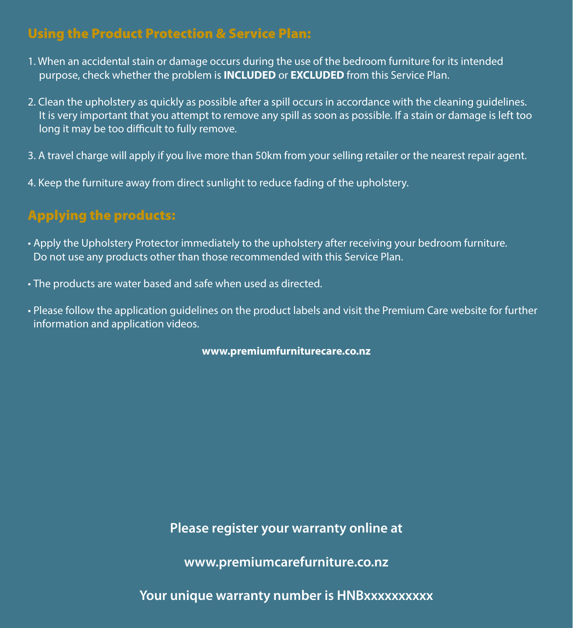## Using the Product Protection & Service Plan:

- 1. When an accidental stain or damage occurs during the use of the bedroom furniture for its intended purpose, check whether the problem is **INCLUDED** or **EXCLUDED** from this Service Plan.
- 2. Clean the upholstery as quickly as possible after a spill occurs in accordance with the cleaning guidelines. It is very important that you attempt to remove any spill as soon as possible. If a stain or damage is left too long it may be too difficult to fully remove.
- 3. A travel charge will apply if you live more than 50km from your selling retailer or the nearest repair agent.
- 4. Keep the furniture away from direct sunlight to reduce fading of the upholstery.

# Applying the products:

- Apply the Upholstery Protector immediately to the upholstery after receiving your bedroom furniture. Do not use any products other than those recommended with this Service Plan.
- The products are water based and safe when used as directed.
- Please follow the application guidelines on the product labels and visit the Premium Care website for further information and application videos.

**www.premiumfurniturecare.co.nz**

**Please register your warranty online at** 

**www.premiumcarefurniture.co.nz**

Your unique warranty number is **HNBxxxxxxxxx**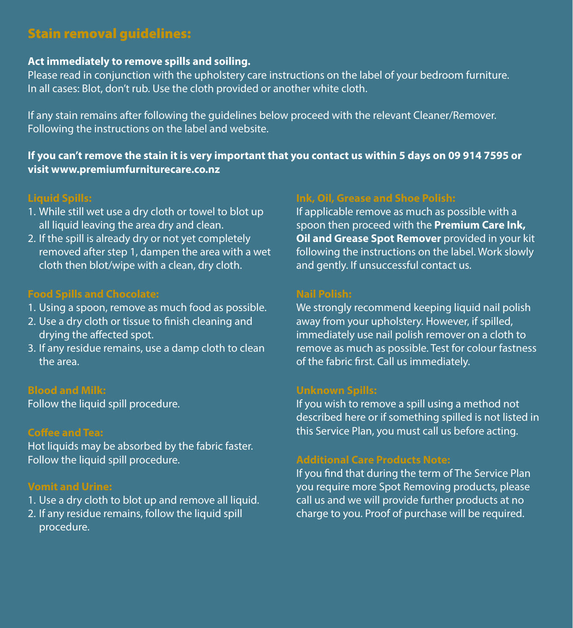## Stain removal guidelines:

### **Act immediately to remove spills and soiling.**

Please read in conjunction with the upholstery care instructions on the label of your bedroom furniture. In all cases: Blot, don't rub. Use the cloth provided or another white cloth.

If any stain remains after following the guidelines below proceed with the relevant Cleaner/Remover. Following the instructions on the label and website.

**If you can't remove the stain it is very important that you contact us within 5 days on 09 914 7595 or visit www.premiumfurniturecare.co.nz**

### **Liquid Spills:**

- 1. While still wet use a dry cloth or towel to blot up all liquid leaving the area dry and clean.
- 2. If the spill is already dry or not yet completely removed after step 1, dampen the area with a wet cloth then blot/wipe with a clean, dry cloth.

### **Food Spills and Chocolate:**

- 1. Using a spoon, remove as much food as possible.
- 2. Use a dry cloth or tissue to finish cleaning and drying the affected spot.
- 3. If any residue remains, use a damp cloth to clean the area.

#### **Blood and Milk:**

Follow the liquid spill procedure.

#### **Coffee and Tea:**

Hot liquids may be absorbed by the fabric faster. Follow the liquid spill procedure.

### **Vomit and Urine:**

- 1. Use a dry cloth to blot up and remove all liquid.
- 2. If any residue remains, follow the liquid spill procedure.

### **Ink, Oil, Grease and Shoe Polish:**

If applicable remove as much as possible with a spoon then proceed with the **Premium Care Ink, Oil and Grease Spot Remover** provided in your kit following the instructions on the label. Work slowly and gently. If unsuccessful contact us.

#### **Nail Polish:**

We strongly recommend keeping liquid nail polish away from your upholstery. However, if spilled, immediately use nail polish remover on a cloth to remove as much as possible. Test for colour fastness of the fabric first. Call us immediately.

#### **Unknown Spills:**

If you wish to remove a spill using a method not described here or if something spilled is not listed in this Service Plan, you must call us before acting.

### **Additional Care Products Note:**

If you find that during the term of The Service Plan you require more Spot Removing products, please call us and we will provide further products at no charge to you. Proof of purchase will be required.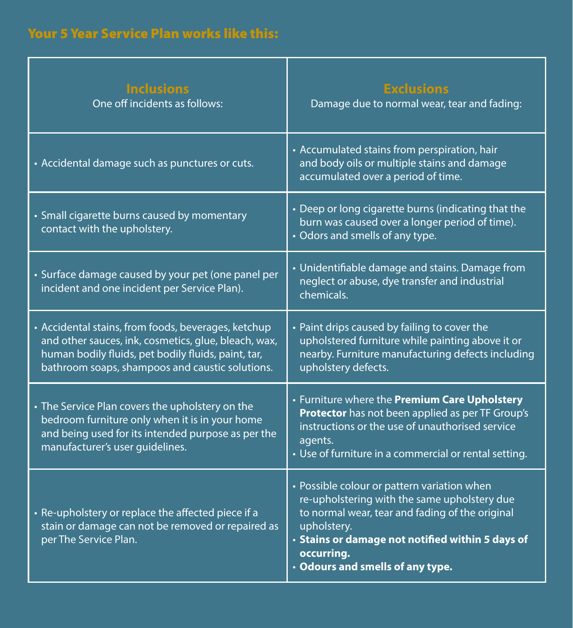| <b>Inclusions</b><br>One off incidents as follows:                                                                                                                                                                    | <b>Exclusions</b><br>Damage due to normal wear, tear and fading:                                                                                                                                                                                                    |  |
|-----------------------------------------------------------------------------------------------------------------------------------------------------------------------------------------------------------------------|---------------------------------------------------------------------------------------------------------------------------------------------------------------------------------------------------------------------------------------------------------------------|--|
| • Accidental damage such as punctures or cuts.                                                                                                                                                                        | • Accumulated stains from perspiration, hair<br>and body oils or multiple stains and damage<br>accumulated over a period of time.                                                                                                                                   |  |
| • Small cigarette burns caused by momentary<br>contact with the upholstery.                                                                                                                                           | • Deep or long cigarette burns (indicating that the<br>burn was caused over a longer period of time).<br>• Odors and smells of any type.                                                                                                                            |  |
| • Surface damage caused by your pet (one panel per<br>incident and one incident per Service Plan).                                                                                                                    | • Unidentifiable damage and stains. Damage from<br>neglect or abuse, dye transfer and industrial<br>chemicals.                                                                                                                                                      |  |
| • Accidental stains, from foods, beverages, ketchup<br>and other sauces, ink, cosmetics, glue, bleach, wax,<br>human bodily fluids, pet bodily fluids, paint, tar,<br>bathroom soaps, shampoos and caustic solutions. | • Paint drips caused by failing to cover the<br>upholstered furniture while painting above it or<br>nearby. Furniture manufacturing defects including<br>upholstery defects.                                                                                        |  |
| • The Service Plan covers the upholstery on the<br>bedroom furniture only when it is in your home<br>and being used for its intended purpose as per the<br>manufacturer's user guidelines.                            | • Furniture where the Premium Care Upholstery<br>Protector has not been applied as per TF Group's<br>instructions or the use of unauthorised service<br>agents.<br>• Use of furniture in a commercial or rental setting.                                            |  |
| • Re-upholstery or replace the affected piece if a<br>stain or damage can not be removed or repaired as<br>per The Service Plan.                                                                                      | • Possible colour or pattern variation when<br>re-upholstering with the same upholstery due<br>to normal wear, tear and fading of the original<br>upholstery.<br>· Stains or damage not notified within 5 days of<br>occurring.<br>• Odours and smells of any type. |  |